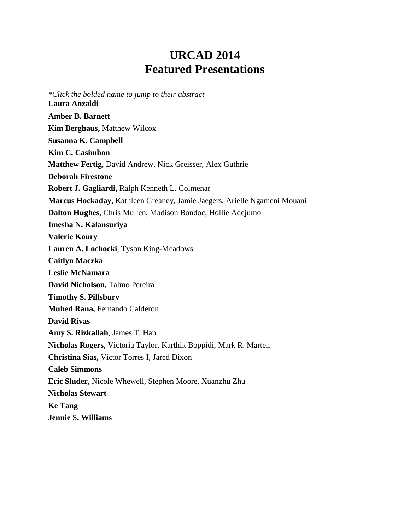# **URCAD 2014 Featured Presentations**

<span id="page-0-0"></span>*\*Click the bolded name to jump to their abstract* **[Laura Anzaldi](#page-1-0) [Amber B. Barnett](#page-1-1) [Kim Berghaus,](#page-1-2)** Matthew Wilcox **[Susanna K. Campbell](#page-2-0) [Kim C. Casimbon](#page-2-1) [Matthew Fertig](#page-3-0)**, David Andrew, Nick Greisser, Alex Guthrie **[Deborah Firestone](#page-3-1) [Robert J. Gagliardi,](#page-4-0)** Ralph Kenneth L. Colmenar **[Marcus Hockaday](#page-4-1)**, Kathleen Greaney, Jamie Jaegers, Arielle Ngameni Mouani **[Dalton Hughes](#page-4-2)**, Chris Mullen, Madison Bondoc, Hollie Adejumo **Imesha [N. Kalansuriya](#page-5-0) [Valerie](#page-5-1) Koury [Lauren A. Lochocki](#page-6-0)**, Tyson King-Meadows **[Caitlyn Maczka](#page-6-1) [Leslie McNamara](#page-7-0) [David Nicholson,](#page-7-1)** Talmo Pereira **[Timothy S. Pillsbury](#page-8-0) [Muhed Rana,](#page-8-1)** Fernando Calderon **[David Rivas](#page-8-2) [Amy S. Rizkallah](#page-9-0)**, James T. Han **[Nicholas Rogers](#page-10-0)**, Victoria Taylor, Karthik Boppidi, Mark R. Marten **[Christina Sias,](#page-10-1)** Victor Torres I, Jared Dixon **[Caleb Simmons](#page-10-2) [Eric Sluder](#page-11-0)**, Nicole Whewell, Stephen Moore, Xuanzhu Zhu **[Nicholas Stewart](#page-11-1) [Ke Tang](#page-12-0) [Jennie S. Williams](#page-13-0)**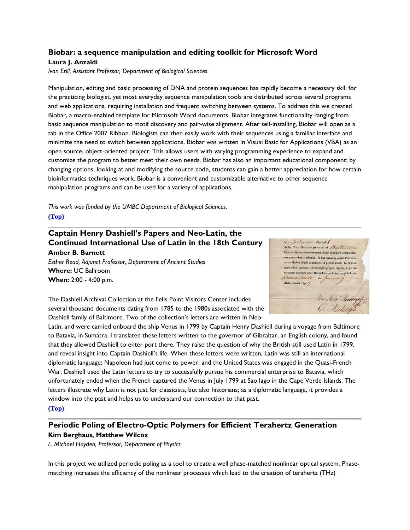#### <span id="page-1-0"></span>**Biobar: a sequence manipulation and editing toolkit for Microsoft Word**

#### **Laura J. Anzaldi**

*Ivan Erill, Assistant Professor, Department of Biological Sciences*

Manipulation, editing and basic processing of DNA and protein sequences has rapidly become a necessary skill for the practicing biologist, yet most everyday sequence manipulation tools are distributed across several programs and web applications, requiring installation and frequent switching between systems. To address this we created Biobar, a macro-enabled template for Microsoft Word documents. Biobar integrates functionality ranging from basic sequence manipulation to motif discovery and pair-wise alignment. After self-installing, Biobar will open as a tab in the Office 2007 Ribbon. Biologists can then easily work with their sequences using a familiar interface and minimize the need to switch between applications. Biobar was written in Visual Basic for Applications (VBA) as an open source, object-oriented project. This allows users with varying programming experience to expand and customize the program to better meet their own needs. Biobar has also an important educational component: by changing options, looking at and modifying the source code, students can gain a better appreciation for how certain bioinformatics techniques work. Biobar is a convenient and customizable alternative to other sequence manipulation programs and can be used for a variety of applications.

*This work was funded by the UMBC Department of Biological Sciences.* **[\(Top\)](#page-0-0)**

## <span id="page-1-1"></span>**Captain Henry Dashiell's Papers and Neo-Latin, the Continued International Use of Latin in the 18th Century**

**Amber B. Barnett** *Esther Read, Adjunct Professor, Department of Ancient Studies* **Where:** UC Ballroom **When:** 2:00 - 4:00 p.m.



The Dashiell Archival Collection at the Fells Point Visitors Center includes several thousand documents dating from 1785 to the 1980s associated with the Dashiell family of Baltimore. Two of the collection's letters are written in Neo-

Latin, and were carried onboard the ship Venus in 1799 by Captain Henry Dashiell during a voyage from Baltimore to Batavia, in Sumatra. I translated these letters written to the governor of Gibraltar, an English colony, and found that they allowed Dashiell to enter port there. They raise the question of why the British still used Latin in 1799, and reveal insight into Captain Dashiell's life. When these letters were written, Latin was still an international diplomatic language; Napoleon had just come to power; and the United States was engaged in the Quasi-French War. Dashiell used the Latin letters to try to successfully pursue his commercial enterprise to Batavia, which unfortunately ended when the French captured the Venus in July 1799 at Sao Iago in the Cape Verde Islands. The letters illustrate why Latin is not just for classicists, but also historians; as a diplomatic language, it provides a window into the past and helps us to understand our connection to that past. **[\(Top\)](#page-0-0)**

### <span id="page-1-2"></span>**Periodic Poling of Electro-Optic Polymers for Efficient Terahertz Generation Kim Berghaus, Matthew Wilcox**

*L. Michael Hayden, Professor, Department of Physics*

In this project we utilized periodic poling as a tool to create a well phase-matched nonlinear optical system. Phasematching increases the efficiency of the nonlinear processes which lead to the creation of terahertz (THz)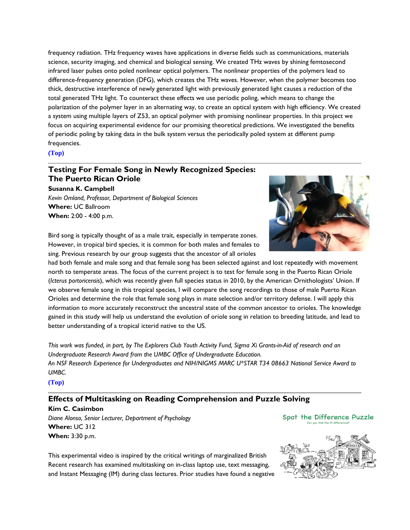frequency radiation. THz frequency waves have applications in diverse fields such as communications, materials science, security imaging, and chemical and biological sensing. We created THz waves by shining femtosecond infrared laser pulses onto poled nonlinear optical polymers. The nonlinear properties of the polymers lead to difference-frequency generation (DFG), which creates the THz waves. However, when the polymer becomes too thick, destructive interference of newly generated light with previously generated light causes a reduction of the total generated THz light. To counteract these effects we use periodic poling, which means to change the polarization of the polymer layer in an alternating way, to create an optical system with high efficiency. We created a system using multiple layers of Z53, an optical polymer with promising nonlinear properties. In this project we focus on acquiring experimental evidence for our promising theoretical predictions. We investigated the benefits of periodic poling by taking data in the bulk system versus the periodically poled system at different pump frequencies.

**[\(Top\)](#page-0-0)**

#### <span id="page-2-0"></span>**Testing For Female Song in Newly Recognized Species: The Puerto Rican Oriole**

**Susanna K. Campbell**

*Kevin Omland, Professor, Department of Biological Sciences* **Where:** UC Ballroom **When:** 2:00 - 4:00 p.m.



Bird song is typically thought of as a male trait, especially in temperate zones. However, in tropical bird species, it is common for both males and females to sing. Previous research by our group suggests that the ancestor of all orioles

had both female and male song and that female song has been selected against and lost repeatedly with movement north to temperate areas. The focus of the current project is to test for female song in the Puerto Rican Oriole (*Icterus portoricensis*), which was recently given full species status in 2010, by the American Ornithologists' Union. If we observe female song in this tropical species, I will compare the song recordings to those of male Puerto Rican Orioles and determine the role that female song plays in mate selection and/or territory defense. I will apply this information to more accurately reconstruct the ancestral state of the common ancestor to orioles. The knowledge gained in this study will help us understand the evolution of oriole song in relation to breeding latitude, and lead to better understanding of a tropical icterid native to the US.

*This work was funded, in part, by The Explorers Club Youth Activity Fund, Sigma Xi Grants-in-Aid of research and an Undergraduate Research Award from the UMBC Office of Undergraduate Education. An NSF Research Experience for Undergraduates and NIH/NIGMS MARC U\*STAR T34 08663 National Service Award to UMBC.*

**[\(Top\)](#page-0-0)**

#### <span id="page-2-1"></span>**Effects of Multitasking on Reading Comprehension and Puzzle Solving**

**Kim C. Casimbon** *Diane Alonso, Senior Lecturer, Department of Psychology* **Where:** UC 312 **When:** 3:30 p.m.



Spot the Difference Puzzle

This experimental video is inspired by the critical writings of marginalized British Recent research has examined multitasking on in-class laptop use, text messaging, and Instant Messaging (IM) during class lectures. Prior studies have found a negative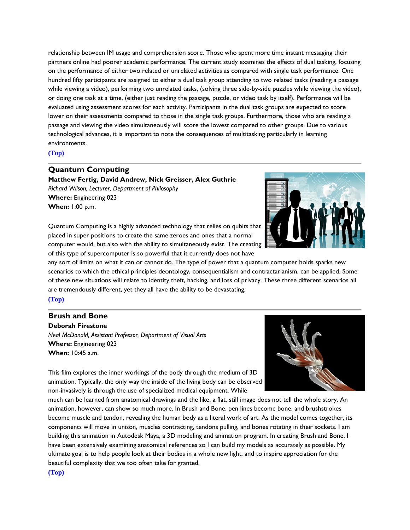relationship between IM usage and comprehension score. Those who spent more time instant messaging their partners online had poorer academic performance. The current study examines the effects of dual tasking, focusing on the performance of either two related or unrelated activities as compared with single task performance. One hundred fifty participants are assigned to either a dual task group attending to two related tasks (reading a passage while viewing a video), performing two unrelated tasks, (solving three side-by-side puzzles while viewing the video), or doing one task at a time, (either just reading the passage, puzzle, or video task by itself). Performance will be evaluated using assessment scores for each activity. Participants in the dual task groups are expected to score lower on their assessments compared to those in the single task groups. Furthermore, those who are reading a passage and viewing the video simultaneously will score the lowest compared to other groups. Due to various technological advances, it is important to note the consequences of multitasking particularly in learning environments.

#### **[\(Top\)](#page-0-0)**

#### <span id="page-3-0"></span>**Quantum Computing**

**Matthew Fertig, David Andrew, Nick Greisser, Alex Guthrie** *Richard Wilson, Lecturer, Department of Philosophy* **Where:** Engineering 023 **When:** 1:00 p.m.





any sort of limits on what it can or cannot do. The type of power that a quantum computer holds sparks new scenarios to which the ethical principles deontology, consequentialism and contractarianism, can be applied. Some of these new situations will relate to identity theft, hacking, and loss of privacy. These three different scenarios all are tremendously different, yet they all have the ability to be devastating.

**[\(Top\)](#page-0-0)**

#### <span id="page-3-1"></span>**Brush and Bone**

**Deborah Firestone** *Neal McDonald, Assistant Professor, Department of Visual Arts* **Where:** Engineering 023 **When:** 10:45 a.m.



This film explores the inner workings of the body through the medium of 3D animation. Typically, the only way the inside of the living body can be observed non-invasively is through the use of specialized medical equipment. While

much can be learned from anatomical drawings and the like, a flat, still image does not tell the whole story. An animation, however, can show so much more. In Brush and Bone, pen lines become bone, and brushstrokes become muscle and tendon, revealing the human body as a literal work of art. As the model comes together, its components will move in unison, muscles contracting, tendons pulling, and bones rotating in their sockets. I am building this animation in Autodesk Maya, a 3D modeling and animation program. In creating Brush and Bone, I have been extensively examining anatomical references so I can build my models as accurately as possible. My ultimate goal is to help people look at their bodies in a whole new light, and to inspire appreciation for the beautiful complexity that we too often take for granted.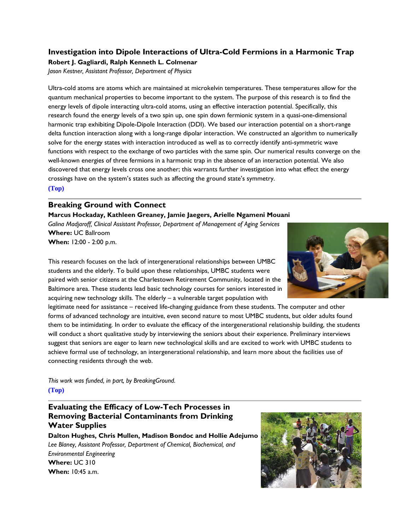#### <span id="page-4-0"></span>**Investigation into Dipole Interactions of Ultra-Cold Fermions in a Harmonic Trap Robert J. Gagliardi, Ralph Kenneth L. Colmenar**

*Jason Kestner, Assistant Professor, Department of Physics*

Ultra-cold atoms are atoms which are maintained at microkelvin temperatures. These temperatures allow for the quantum mechanical properties to become important to the system. The purpose of this research is to find the energy levels of dipole interacting ultra-cold atoms, using an effective interaction potential. Specifically, this research found the energy levels of a two spin up, one spin down fermionic system in a quasi-one-dimensional harmonic trap exhibiting Dipole-Dipole Interaction (DDI). We based our interaction potential on a short-range delta function interaction along with a long-range dipolar interaction. We constructed an algorithm to numerically solve for the energy states with interaction introduced as well as to correctly identify anti-symmetric wave functions with respect to the exchange of two particles with the same spin. Our numerical results converge on the well-known energies of three fermions in a harmonic trap in the absence of an interaction potential. We also discovered that energy levels cross one another; this warrants further investigation into what effect the energy crossings have on the system's states such as affecting the ground state's symmetry. **[\(Top\)](#page-0-0)**

#### **Breaking Ground with Connect**

<span id="page-4-1"></span>**Marcus Hockaday, Kathleen Greaney, Jamie Jaegers, Arielle Ngameni Mouani** *Galina Madjaroff, Clinical Assistant Professor, Department of Management of Aging Services* **Where:** UC Ballroom **When:** 12:00 - 2:00 p.m.

This research focuses on the lack of intergenerational relationships between UMBC students and the elderly. To build upon these relationships, UMBC students were paired with senior citizens at the Charlestown Retirement Community, located in the Baltimore area. These students lead basic technology courses for seniors interested in acquiring new technology skills. The elderly – a vulnerable target population with

legitimate need for assistance – received life-changing guidance from these students. The computer and other forms of advanced technology are intuitive, even second nature to most UMBC students, but older adults found them to be intimidating. In order to evaluate the efficacy of the intergenerational relationship building, the students will conduct a short qualitative study by interviewing the seniors about their experience. Preliminary interviews suggest that seniors are eager to learn new technological skills and are excited to work with UMBC students to achieve formal use of technology, an intergenerational relationship, and learn more about the facilities use of connecting residents through the web.

*This work was funded, in part, by BreakingGround.* **[\(Top\)](#page-0-0)**

### <span id="page-4-2"></span>**Evaluating the Efficacy of Low-Tech Processes in Removing Bacterial Contaminants from Drinking Water Supplies**

**Dalton Hughes, Chris Mullen, Madison Bondoc and Hollie Adejumo** *Lee Blaney, Assistant Professor, Department of Chemical, Biochemical, and Environmental Engineering* **Where:** UC 310 **When:** 10:45 a.m.



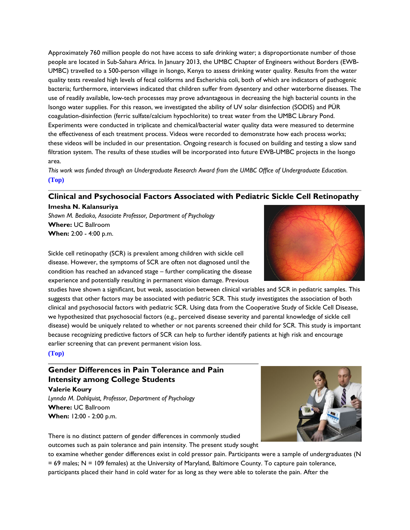Approximately 760 million people do not have access to safe drinking water; a disproportionate number of those people are located in Sub-Sahara Africa. In January 2013, the UMBC Chapter of Engineers without Borders (EWB-UMBC) travelled to a 500-person village in Isongo, Kenya to assess drinking water quality. Results from the water quality tests revealed high levels of fecal coliforms and Escherichia coli, both of which are indicators of pathogenic bacteria; furthermore, interviews indicated that children suffer from dysentery and other waterborne diseases. The use of readily available, low-tech processes may prove advantageous in decreasing the high bacterial counts in the Isongo water supplies. For this reason, we investigated the ability of UV solar disinfection (SODIS) and PÜR coagulation-disinfection (ferric sulfate/calcium hypochlorite) to treat water from the UMBC Library Pond. Experiments were conducted in triplicate and chemical/bacterial water quality data were measured to determine the effectiveness of each treatment process. Videos were recorded to demonstrate how each process works; these videos will be included in our presentation. Ongoing research is focused on building and testing a slow sand filtration system. The results of these studies will be incorporated into future EWB-UMBC projects in the Isongo area.

*This work was funded through an Undergraduate Research Award from the UMBC Office of Undergraduate Education.* **[\(Top\)](#page-0-0)**

#### <span id="page-5-0"></span>**Clinical and Psychosocial Factors Associated with Pediatric Sickle Cell Retinopathy Imesha N. Kalansuriya**

*Shawn M. Bediako, Associate Professor, Department of Psychology* **Where:** UC Ballroom **When:** 2:00 - 4:00 p.m.



Sickle cell retinopathy (SCR) is prevalent among children with sickle cell disease. However, the symptoms of SCR are often not diagnosed until the condition has reached an advanced stage – further complicating the disease experience and potentially resulting in permanent vision damage. Previous

studies have shown a significant, but weak, association between clinical variables and SCR in pediatric samples. This suggests that other factors may be associated with pediatric SCR. This study investigates the association of both clinical and psychosocial factors with pediatric SCR. Using data from the Cooperative Study of Sickle Cell Disease, we hypothesized that psychosocial factors (e.g., perceived disease severity and parental knowledge of sickle cell disease) would be uniquely related to whether or not parents screened their child for SCR. This study is important because recognizing predictive factors of SCR can help to further identify patients at high risk and encourage earlier screening that can prevent permanent vision loss.

#### **[\(Top\)](#page-0-0)**

### <span id="page-5-1"></span>**Gender Differences in Pain Tolerance and Pain Intensity among College Students**

**Valerie Koury** *Lynnda M. Dahlquist, Professor, Department of Psychology* **Where:** UC Ballroom **When:** 12:00 - 2:00 p.m.



There is no distinct pattern of gender differences in commonly studied outcomes such as pain tolerance and pain intensity. The present study sought

to examine whether gender differences exist in cold pressor pain. Participants were a sample of undergraduates (N = 69 males; N = 109 females) at the University of Maryland, Baltimore County. To capture pain tolerance, participants placed their hand in cold water for as long as they were able to tolerate the pain. After the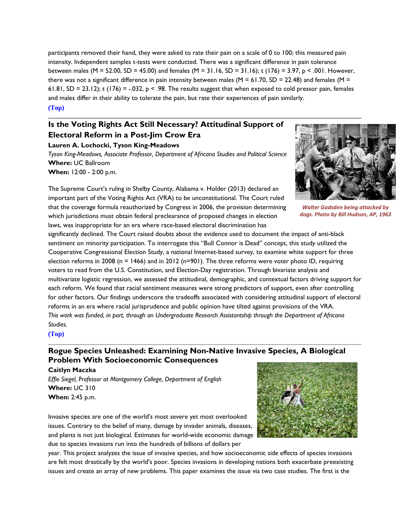participants removed their hand, they were asked to rate their pain on a scale of 0 to 100; this measured pain intensity. Independent samples t-tests were conducted. There was a significant difference in pain tolerance between males (M = 52.00, SD = 45.00) and females (M = 31.16, SD = 31.16); t (176) = 3.97, p < .001. However, there was not a significant difference in pain intensity between males (M = 61.70, SD = 22.48) and females (M = 61.81, SD = 23.12); t (176) = -.032,  $p < .98$ . The results suggest that when exposed to cold pressor pain, females and males differ in their ability to tolerate the pain, but rate their experiences of pain similarly. **[\(Top\)](#page-0-0)**

### <span id="page-6-0"></span>**Is the Voting Rights Act Still Necessary? Attitudinal Support of Electoral Reform in a Post-Jim Crow Era**

#### **Lauren A. Lochocki, Tyson King-Meadows**

*Tyson King-Meadows, Associate Professor, Department of Africana Studies and Political Science* **Where:** UC Ballroom **When:** 12:00 - 2:00 p.m.

The Supreme Court's ruling in Shelby County, Alabama v. Holder (2013) declared an important part of the Voting Rights Act (VRA) to be unconstitutional. The Court ruled that the coverage formula reauthorized by Congress in 2006, the provision determining which jurisdictions must obtain federal preclearance of proposed changes in election laws, was inappropriate for an era where race-based electoral discrimination has



*Walter Gadsden being attacked by dogs. Photo by Bill Hudson, AP, 1963*

significantly declined. The Court raised doubts about the evidence used to document the impact of anti-black sentiment on minority participation. To interrogate this "Bull Connor is Dead" concept, this study utilized the Cooperative Congressional Election Study, a national Internet-based survey, to examine white support for three election reforms in 2008 (n = 1466) and in 2012 (n=901). The three reforms were voter photo ID, requiring voters to read from the U.S. Constitution, and Election-Day registration. Through bivariate analysis and multivariate logistic regression, we assessed the attitudinal, demographic, and contextual factors driving support for each reform. We found that racial sentiment measures were strong predictors of support, even after controlling for other factors. Our findings underscore the tradeoffs associated with considering attitudinal support of electoral reforms in an era where racial jurisprudence and public opinion have tilted against provisions of the VRA. *This work was funded, in part, through an Undergraduate Research Assistantship through the Department of Africana Studies.*

<span id="page-6-1"></span>**[\(Top\)](#page-0-0)**

### **Rogue Species Unleashed: Examining Non-Native Invasive Species, A Biological Problem With Socioeconomic Consequences**

**Caitlyn Maczka**

*Effie Siegel, Professor at Montgomery College, Department of English* **Where:** UC 310 **When:** 2:45 p.m.

Invasive species are one of the world's most severe yet most overlooked issues. Contrary to the belief of many, damage by invader animals, diseases, and plants is not just biological. Estimates for world-wide economic damage due to species invasions run into the hundreds of billions of dollars per



year. This project analyzes the issue of invasive species, and how socioeconomic side effects of species invasions are felt most drastically by the world's poor. Species invasions in developing nations both exacerbate preexisting issues and create an array of new problems. This paper examines the issue via two case studies. The first is the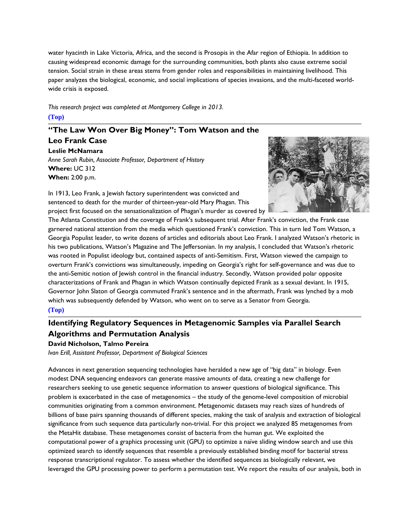water hyacinth in Lake Victoria, Africa, and the second is Prosopis in the Afar region of Ethiopia. In addition to causing widespread economic damage for the surrounding communities, both plants also cause extreme social tension. Social strain in these areas stems from gender roles and responsibilities in maintaining livelihood. This paper analyzes the biological, economic, and social implications of species invasions, and the multi-faceted worldwide crisis is exposed.

*This research project was completed at Montgomery College in 2013.* **[\(Top\)](#page-0-0)**

### <span id="page-7-0"></span>**"The Law Won Over Big Money": Tom Watson and the**

**Leo Frank Case Leslie McNamara** *Anne Sarah Rubin, Associate Professor, Department of History* **Where:** UC 312 **When:** 2:00 p.m.



In 1913, Leo Frank, a Jewish factory superintendent was convicted and sentenced to death for the murder of thirteen-year-old Mary Phagan. This project first focused on the sensationalization of Phagan's murder as covered by

The Atlanta Constitution and the coverage of Frank's subsequent trial. After Frank's conviction, the Frank case garnered national attention from the media which questioned Frank's conviction. This in turn led Tom Watson, a Georgia Populist leader, to write dozens of articles and editorials about Leo Frank. I analyzed Watson's rhetoric in his two publications, Watson's Magazine and The Jeffersonian. In my analysis, I concluded that Watson's rhetoric was rooted in Populist ideology but, contained aspects of anti-Semitism. First, Watson viewed the campaign to overturn Frank's convictions was simultaneously, impeding on Georgia's right for self-governance and was due to the anti-Semitic notion of Jewish control in the financial industry. Secondly, Watson provided polar opposite characterizations of Frank and Phagan in which Watson continually depicted Frank as a sexual deviant. In 1915, Governor John Slaton of Georgia commuted Frank's sentence and in the aftermath, Frank was lynched by a mob which was subsequently defended by Watson, who went on to serve as a Senator from Georgia. **[\(Top\)](#page-0-0)**

### <span id="page-7-1"></span>**Identifying Regulatory Sequences in Metagenomic Samples via Parallel Search Algorithms and Permutation Analysis**

#### **David Nicholson, Talmo Pereira**

*Ivan Erill, Assistant Professor, Department of Biological Sciences*

Advances in next generation sequencing technologies have heralded a new age of "big data" in biology. Even modest DNA sequencing endeavors can generate massive amounts of data, creating a new challenge for researchers seeking to use genetic sequence information to answer questions of biological significance. This problem is exacerbated in the case of metagenomics – the study of the genome-level composition of microbial communities originating from a common environment. Metagenomic datasets may reach sizes of hundreds of billions of base pairs spanning thousands of different species, making the task of analysis and extraction of biological significance from such sequence data particularly non-trivial. For this project we analyzed 85 metagenomes from the MetaHit database. These metagenomes consist of bacteria from the human gut. We exploited the computational power of a graphics processing unit (GPU) to optimize a naïve sliding window search and use this optimized search to identify sequences that resemble a previously established binding motif for bacterial stress response transcriptional regulator. To assess whether the identified sequences as biologically relevant, we leveraged the GPU processing power to perform a permutation test. We report the results of our analysis, both in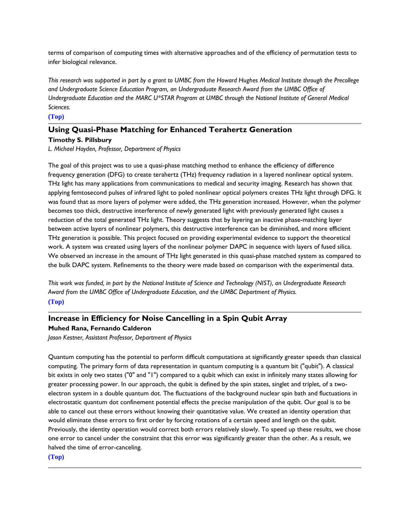terms of comparison of computing times with alternative approaches and of the efficiency of permutation tests to infer biological relevance.

*This research was supported in part by a grant to UMBC from the Howard Hughes Medical Institute through the Precollege and Undergraduate Science Education Program, an Undergraduate Research Award from the UMBC Office of Undergraduate Education and the MARC U\*STAR Program at UMBC through the National Institute of General Medical Sciences.*

#### **[\(Top\)](#page-0-0)**

### <span id="page-8-0"></span>**Using Quasi-Phase Matching for Enhanced Terahertz Generation**

**Timothy S. Pillsbury**

*L. Michael Hayden, Professor, Department of Physics*

The goal of this project was to use a quasi-phase matching method to enhance the efficiency of difference frequency generation (DFG) to create terahertz (THz) frequency radiation in a layered nonlinear optical system. THz light has many applications from communications to medical and security imaging. Research has shown that applying femtosecond pulses of infrared light to poled nonlinear optical polymers creates THz light through DFG. It was found that as more layers of polymer were added, the THz generation increased. However, when the polymer becomes too thick, destructive interference of newly generated light with previously generated light causes a reduction of the total generated THz light. Theory suggests that by layering an inactive phase-matching layer between active layers of nonlinear polymers, this destructive interference can be diminished, and more efficient THz generation is possible. This project focused on providing experimental evidence to support the theoretical work. A system was created using layers of the nonlinear polymer DAPC in sequence with layers of fused silica. We observed an increase in the amount of THz light generated in this quasi-phase matched system as compared to the bulk DAPC system. Refinements to the theory were made based on comparison with the experimental data.

*This work was funded, in part by the National Institute of Science and Technology (NIST), an Undergraduate Research Award from the UMBC Office of Undergraduate Education, and the UMBC Department of Physics.* **[\(Top\)](#page-0-0)**

### <span id="page-8-1"></span>**Increase in Efficiency for Noise Cancelling in a Spin Qubit Array Muhed Rana, Fernando Calderon**

*Jason Kestner, Assistant Professor, Department of Physics*

<span id="page-8-2"></span>Quantum computing has the potential to perform difficult computations at significantly greater speeds than classical computing. The primary form of data representation in quantum computing is a quantum bit ("qubit"). A classical bit exists in only two states ("0" and "1") compared to a qubit which can exist in infinitely many states allowing for greater processing power. In our approach, the qubit is defined by the spin states, singlet and triplet, of a twoelectron system in a double quantum dot. The fluctuations of the background nuclear spin bath and fluctuations in electrostatic quantum dot confinement potential effects the precise manipulation of the qubit. Our goal is to be able to cancel out these errors without knowing their quantitative value. We created an identity operation that would eliminate these errors to first order by forcing rotations of a certain speed and length on the qubit. Previously, the identity operation would correct both errors relatively slowly. To speed up these results, we chose one error to cancel under the constraint that this error was significantly greater than the other. As a result, we halved the time of error-canceling.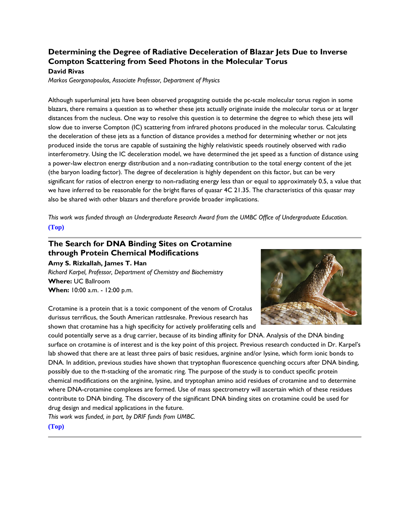#### **Determining the Degree of Radiative Deceleration of Blazar Jets Due to Inverse Compton Scattering from Seed Photons in the Molecular Torus David Rivas**

*Markos Georganopoulos, Associate Professor, Department of Physics*

Although superluminal jets have been observed propagating outside the pc-scale molecular torus region in some blazars, there remains a question as to whether these jets actually originate inside the molecular torus or at larger distances from the nucleus. One way to resolve this question is to determine the degree to which these jets will slow due to inverse Compton (IC) scattering from infrared photons produced in the molecular torus. Calculating the deceleration of these jets as a function of distance provides a method for determining whether or not jets produced inside the torus are capable of sustaining the highly relativistic speeds routinely observed with radio interferometry. Using the IC deceleration model, we have determined the jet speed as a function of distance using a power-law electron energy distribution and a non-radiating contribution to the total energy content of the jet (the baryon loading factor). The degree of deceleration is highly dependent on this factor, but can be very significant for ratios of electron energy to non-radiating energy less than or equal to approximately 0.5, a value that we have inferred to be reasonable for the bright flares of quasar 4C 21.35. The characteristics of this quasar may also be shared with other blazars and therefore provide broader implications.

*This work was funded through an Undergraduate Research Award from the UMBC Office of Undergraduate Education.* **[\(Top\)](#page-0-0)**

## <span id="page-9-0"></span>**The Search for DNA Binding Sites on Crotamine through Protein Chemical Modifications**

**Amy S. Rizkallah, James T. Han** *Richard Karpel, Professor, Department of Chemistry and Biochemistry* **Where:** UC Ballroom **When:** 10:00 a.m. - 12:00 p.m.



Crotamine is a protein that is a toxic component of the venom of Crotalus durissus terrificus, the South American rattlesnake. Previous research has shown that crotamine has a high specificity for actively proliferating cells and

could potentially serve as a drug carrier, because of its binding affinity for DNA. Analysis of the DNA binding surface on crotamine is of interest and is the key point of this project. Previous research conducted in Dr. Karpel's lab showed that there are at least three pairs of basic residues, arginine and/or lysine, which form ionic bonds to DNA. In addition, previous studies have shown that tryptophan fluorescence quenching occurs after DNA binding, possibly due to the π-stacking of the aromatic ring. The purpose of the study is to conduct specific protein chemical modifications on the arginine, lysine, and tryptophan amino acid residues of crotamine and to determine where DNA-crotamine complexes are formed. Use of mass spectrometry will ascertain which of these residues contribute to DNA binding. The discovery of the significant DNA binding sites on crotamine could be used for drug design and medical applications in the future.

*This work was funded, in part, by DRIF funds from UMBC.*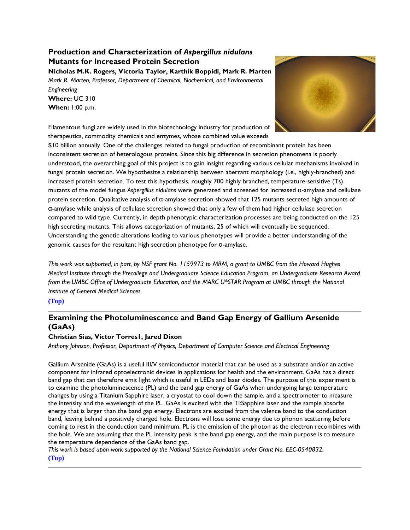### <span id="page-10-0"></span>**Production and Characterization of** *Aspergillus nidulans* **Mutants for Increased Protein Secretion**

**Nicholas M.K. Rogers, Victoria Taylor, Karthik Boppidi, Mark R. Marten** *Mark R. Marten, Professor, Department of Chemical, Biochemical, and Environmental Engineering* **Where:** UC 310 **When:** 1:00 p.m.

<span id="page-10-1"></span>

Filamentous fungi are widely used in the biotechnology industry for production of therapeutics, commodity chemicals and enzymes, whose combined value exceeds

\$10 billion annually. One of the challenges related to fungal production of recombinant protein has been inconsistent secretion of heterologous proteins. Since this big difference in secretion phenomena is poorly understood, the overarching goal of this project is to gain insight regarding various cellular mechanisms involved in fungal protein secretion. We hypothesize a relationship between aberrant morphology (i.e., highly-branched) and increased protein secretion. To test this hypothesis, roughly 700 highly branched, temperature-sensitive (Ts) mutants of the model fungus *Aspergillus nidulans* were generated and screened for increased α-amylase and cellulase protein secretion. Qualitative analysis of α-amylase secretion showed that 125 mutants secreted high amounts of α-amylase while analysis of cellulase secretion showed that only a few of them had higher cellulase secretion compared to wild type. Currently, in depth phenotypic characterization processes are being conducted on the 125 high secreting mutants. This allows categorization of mutants, 25 of which will eventually be sequenced. Understanding the genetic alterations leading to various phenotypes will provide a better understanding of the genomic causes for the resultant high secretion phenotype for α-amylase.

*This work was supported, in part, by NSF grant No. 1159973 to MRM, a grant to UMBC from the Howard Hughes Medical Institute through the Precollege and Undergraduate Science Education Program, an Undergraduate Research Award from the UMBC Office of Undergraduate Education, and the MARC U\*STAR Program at UMBC through the National Institute of General Medical Sciences.*

**[\(Top\)](#page-0-0)**

### **Examining the Photoluminescence and Band Gap Energy of Gallium Arsenide (GaAs)**

#### **Christian Sias, Victor Torres1, Jared Dixon**

*Anthony Johnson, Professor, Department of Physics, Department of Computer Science and Electrical Engineering*

Gallium Arsenide (GaAs) is a useful III/V semiconductor material that can be used as a substrate and/or an active component for infrared optoelectronic devices in applications for health and the environment. GaAs has a direct band gap that can therefore emit light which is useful in LEDs and laser diodes. The purpose of this experiment is to examine the photoluminescence (PL) and the band gap energy of GaAs when undergoing large temperature changes by using a Titanium Sapphire laser, a cryostat to cool down the sample, and a spectrometer to measure the intensity and the wavelength of the PL. GaAs is excited with the Ti:Sapphire laser and the sample absorbs energy that is larger than the band gap energy. Electrons are excited from the valence band to the conduction band, leaving behind a positively charged hole. Electrons will lose some energy due to phonon scattering before coming to rest in the conduction band minimum. PL is the emission of the photon as the electron recombines with the hole. We are assuming that the PL intensity peak is the band gap energy, and the main purpose is to measure the temperature dependence of the GaAs band gap.

<span id="page-10-2"></span>*This work is based upon work supported by the National Science Foundation under Grant No. EEC-0540832.*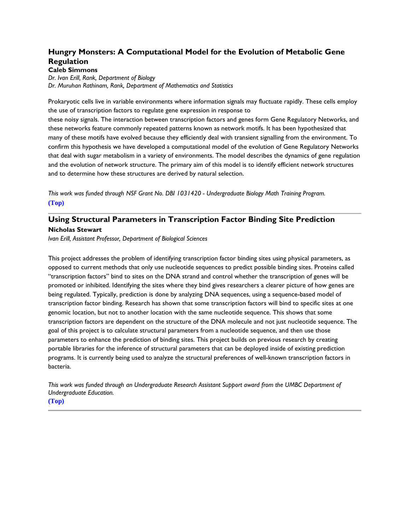### **Hungry Monsters: A Computational Model for the Evolution of Metabolic Gene Regulation**

**Caleb Simmons**

*Dr. Ivan Erill, Rank, Department of Biology Dr. Muruhan Rathinam, Rank, Department of Mathematics and Statistics*

Prokaryotic cells live in variable environments where information signals may fluctuate rapidly. These cells employ the use of transcription factors to regulate gene expression in response to

these noisy signals. The interaction between transcription factors and genes form Gene Regulatory Networks, and these networks feature commonly repeated patterns known as network motifs. It has been hypothesized that many of these motifs have evolved because they efficiently deal with transient signalling from the environment. To confirm this hypothesis we have developed a computational model of the evolution of Gene Regulatory Networks that deal with sugar metabolism in a variety of environments. The model describes the dynamics of gene regulation and the evolution of network structure. The primary aim of this model is to identify efficient network structures and to determine how these structures are derived by natural selection.

*This work was funded through NSF Grant No. DBI 1031420 - Undergraduate Biology Math Training Program.* **[\(Top\)](#page-0-0)**

#### <span id="page-11-1"></span>**Using Structural Parameters in Transcription Factor Binding Site Prediction Nicholas Stewart**

*Ivan Erill, Assistant Professor, Department of Biological Sciences*

This project addresses the problem of identifying transcription factor binding sites using physical parameters, as opposed to current methods that only use nucleotide sequences to predict possible binding sites. Proteins called "transcription factors" bind to sites on the DNA strand and control whether the transcription of genes will be promoted or inhibited. Identifying the sites where they bind gives researchers a clearer picture of how genes are being regulated. Typically, prediction is done by analyzing DNA sequences, using a sequence-based model of transcription factor binding. Research has shown that some transcription factors will bind to specific sites at one genomic location, but not to another location with the same nucleotide sequence. This shows that some transcription factors are dependent on the structure of the DNA molecule and not just nucleotide sequence. The goal of this project is to calculate structural parameters from a nucleotide sequence, and then use those parameters to enhance the prediction of binding sites. This project builds on previous research by creating portable libraries for the inference of structural parameters that can be deployed inside of existing prediction programs. It is currently being used to analyze the structural preferences of well-known transcription factors in bacteria.

<span id="page-11-0"></span>*This work was funded through an Undergraduate Research Assistant Support award from the UMBC Department of Undergraduate Education.*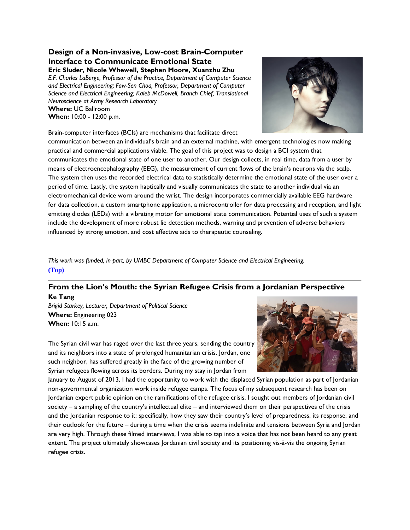#### **Design of a Non-invasive, Low-cost Brain-Computer Interface to Communicate Emotional State Eric Sluder, Nicole Whewell, Stephen Moore, Xuanzhu Zhu**

*E.F. Charles LaBerge, Professor of the Practice, Department of Computer Science and Electrical Engineering; Fow-Sen Choa, Professor, Department of Computer Science and Electrical Engineering; Kaleb McDowell, Branch Chief, Translational Neuroscience at Army Research Laboratory* **Where:** UC Ballroom **When:** 10:00 - 12:00 p.m.





communication between an individual's brain and an external machine, with emergent technologies now making practical and commercial applications viable. The goal of this project was to design a BCI system that communicates the emotional state of one user to another. Our design collects, in real time, data from a user by means of electroencephalography (EEG), the measurement of current flows of the brain's neurons via the scalp. The system then uses the recorded electrical data to statistically determine the emotional state of the user over a period of time. Lastly, the system haptically and visually communicates the state to another individual via an electromechanical device worn around the wrist. The design incorporates commercially available EEG hardware for data collection, a custom smartphone application, a microcontroller for data processing and reception, and light emitting diodes (LEDs) with a vibrating motor for emotional state communication. Potential uses of such a system include the development of more robust lie detection methods, warning and prevention of adverse behaviors influenced by strong emotion, and cost effective aids to therapeutic counseling.

*This work was funded, in part, by UMBC Department of Computer Science and Electrical Engineering.* **[\(Top\)](#page-0-0)**

#### **From the Lion's Mouth: the Syrian Refugee Crisis from a Jordanian Perspective Ke Tang**

*Brigid Starkey, Lecturer, Department of Political Science* **Where:** Engineering 023 **When:** 10:15 a.m.

<span id="page-12-0"></span>

The Syrian civil war has raged over the last three years, sending the country and its neighbors into a state of prolonged humanitarian crisis. Jordan, one such neighbor, has suffered greatly in the face of the growing number of Syrian refugees flowing across its borders. During my stay in Jordan from

January to August of 2013, I had the opportunity to work with the displaced Syrian population as part of Jordanian non-governmental organization work inside refugee camps. The focus of my subsequent research has been on Jordanian expert public opinion on the ramifications of the refugee crisis. I sought out members of Jordanian civil society – a sampling of the country's intellectual elite – and interviewed them on their perspectives of the crisis and the Jordanian response to it: specifically, how they saw their country's level of preparedness, its response, and their outlook for the future – during a time when the crisis seems indefinite and tensions between Syria and Jordan are very high. Through these filmed interviews, I was able to tap into a voice that has not been heard to any great extent. The project ultimately showcases Jordanian civil society and its positioning vis-à-vis the ongoing Syrian refugee crisis.